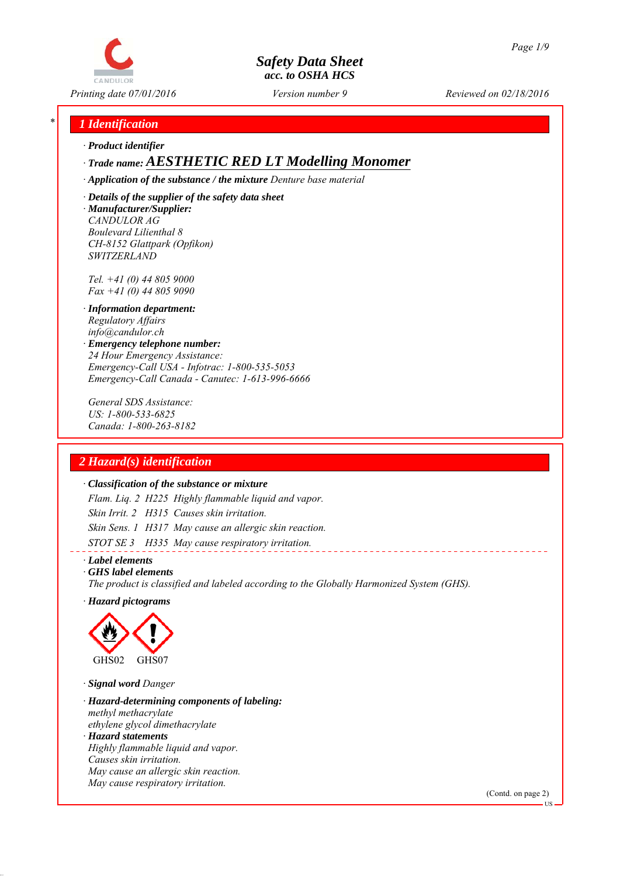

*Printing date 07/01/2016 Reviewed on 02/18/2016 Version number 9*

# *\* 1 Identification*

*∙ Product identifier*

*∙ Trade name: AESTHETIC RED LT Modelling Monomer*

*∙ Application of the substance / the mixture Denture base material*

*∙ Details of the supplier of the safety data sheet ∙ Manufacturer/Supplier: CANDULOR AG Boulevard Lilienthal 8 CH-8152 Glattpark (Opfikon) SWITZERLAND*

*Tel. +41 (0) 44 805 9000 Fax +41 (0) 44 805 9090*

- *∙ Information department: Regulatory Affairs info@candulor.ch*
- *∙ Emergency telephone number: 24 Hour Emergency Assistance: Emergency-Call USA - Infotrac: 1-800-535-5053 Emergency-Call Canada - Canutec: 1-613-996-6666*

*General SDS Assistance: US: 1-800-533-6825 Canada: 1-800-263-8182*

# *2 Hazard(s) identification*

#### *∙ Classification of the substance or mixture*

*Flam. Liq. 2 H225 Highly flammable liquid and vapor. Skin Irrit. 2 H315 Causes skin irritation. Skin Sens. 1 H317 May cause an allergic skin reaction. STOT SE 3 H335 May cause respiratory irritation.*

*∙ Label elements*

*∙ GHS label elements*

*The product is classified and labeled according to the Globally Harmonized System (GHS).*

*∙ Hazard pictograms*



*∙ Signal word Danger*

*∙ Hazard-determining components of labeling: methyl methacrylate ethylene glycol dimethacrylate*

*∙ Hazard statements Highly flammable liquid and vapor. Causes skin irritation. May cause an allergic skin reaction. May cause respiratory irritation.*

(Contd. on page 2)

US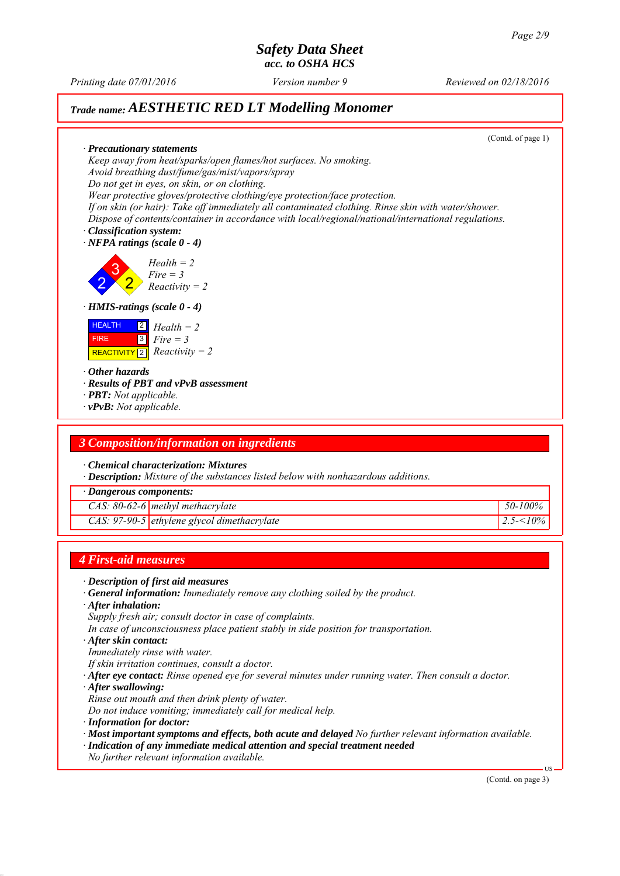*Printing date 07/01/2016 Reviewed on 02/18/2016 Version number 9*

# *Trade name: AESTHETIC RED LT Modelling Monomer*

(Contd. of page 1) *∙ Precautionary statements Keep away from heat/sparks/open flames/hot surfaces. No smoking. Avoid breathing dust/fume/gas/mist/vapors/spray Do not get in eyes, on skin, or on clothing. Wear protective gloves/protective clothing/eye protection/face protection. If on skin (or hair): Take off immediately all contaminated clothing. Rinse skin with water/shower. Dispose of contents/container in accordance with local/regional/national/international regulations. ∙ Classification system: ∙ NFPA ratings (scale 0 - 4)* 2 3 2 *Health = 2 Fire = 3 Reactivity = 2 ∙ HMIS-ratings (scale 0 - 4)* **HEALTH**  FIRE  $\boxed{\text{REACTIVITY} \boxed{2}}$  *Reactivity = 2* 2 *Health = 2* 3 *Fire = 3 ∙ Other hazards ∙ Results of PBT and vPvB assessment ∙ PBT: Not applicable. ∙ vPvB: Not applicable. 3 Composition/information on ingredients ∙ Chemical characterization: Mixtures ∙ Description: Mixture of the substances listed below with nonhazardous additions. ∙ Dangerous components: CAS: 80-62-6 methyl methacrylate 50-100% CAS: 97-90-5 ethylene glycol dimethacrylate 2.5-<10% 4 First-aid measures ∙ Description of first aid measures ∙ General information: Immediately remove any clothing soiled by the product.*

*∙ After inhalation:*

*Supply fresh air; consult doctor in case of complaints.*

*In case of unconsciousness place patient stably in side position for transportation.*

*∙ After skin contact:*

*Immediately rinse with water.*

*If skin irritation continues, consult a doctor.*

- *∙ After eye contact: Rinse opened eye for several minutes under running water. Then consult a doctor.*
- *∙ After swallowing:*

*Rinse out mouth and then drink plenty of water.*

*Do not induce vomiting; immediately call for medical help.*

*∙ Information for doctor:*

*∙ Most important symptoms and effects, both acute and delayed No further relevant information available.*

*∙ Indication of any immediate medical attention and special treatment needed*

*No further relevant information available.*

(Contd. on page 3)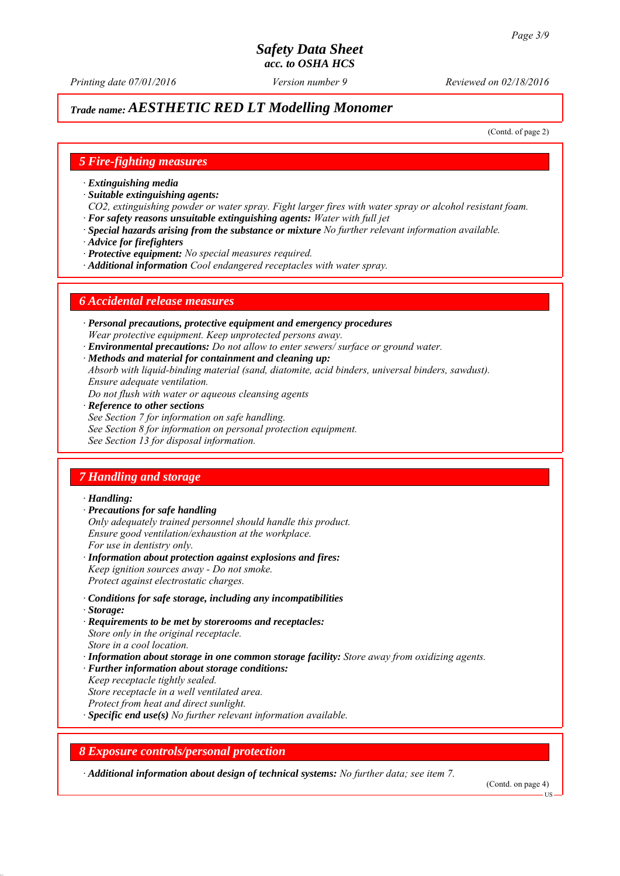# *Trade name: AESTHETIC RED LT Modelling Monomer*

(Contd. of page 2)

#### *5 Fire-fighting measures*

- *∙ Extinguishing media*
- *∙ Suitable extinguishing agents:*
- *CO2, extinguishing powder or water spray. Fight larger fires with water spray or alcohol resistant foam. ∙ For safety reasons unsuitable extinguishing agents: Water with full jet*
- *∙ Special hazards arising from the substance or mixture No further relevant information available.*
- *∙ Advice for firefighters*
- *∙ Protective equipment: No special measures required.*
- *∙ Additional information Cool endangered receptacles with water spray.*

#### *6 Accidental release measures*

- *∙ Personal precautions, protective equipment and emergency procedures Wear protective equipment. Keep unprotected persons away.*
- *∙ Environmental precautions: Do not allow to enter sewers/ surface or ground water.*
- *∙ Methods and material for containment and cleaning up:*
- *Absorb with liquid-binding material (sand, diatomite, acid binders, universal binders, sawdust). Ensure adequate ventilation.*
- *Do not flush with water or aqueous cleansing agents*
- *∙ Reference to other sections*
- *See Section 7 for information on safe handling.*
- *See Section 8 for information on personal protection equipment.*
- *See Section 13 for disposal information.*

# *7 Handling and storage*

#### *∙ Handling:*

- *∙ Precautions for safe handling*
- *Only adequately trained personnel should handle this product. Ensure good ventilation/exhaustion at the workplace. For use in dentistry only.*
- *∙ Information about protection against explosions and fires: Keep ignition sources away - Do not smoke. Protect against electrostatic charges.*
- *∙ Conditions for safe storage, including any incompatibilities*
- *∙ Storage:*
- *∙ Requirements to be met by storerooms and receptacles: Store only in the original receptacle. Store in a cool location.*
- *∙ Information about storage in one common storage facility: Store away from oxidizing agents.*
- *∙ Further information about storage conditions:*
- *Keep receptacle tightly sealed.*
- *Store receptacle in a well ventilated area.*
- *Protect from heat and direct sunlight.*
- *∙ Specific end use(s) No further relevant information available.*

### *8 Exposure controls/personal protection*

*∙ Additional information about design of technical systems: No further data; see item 7.*

(Contd. on page 4)

**HS**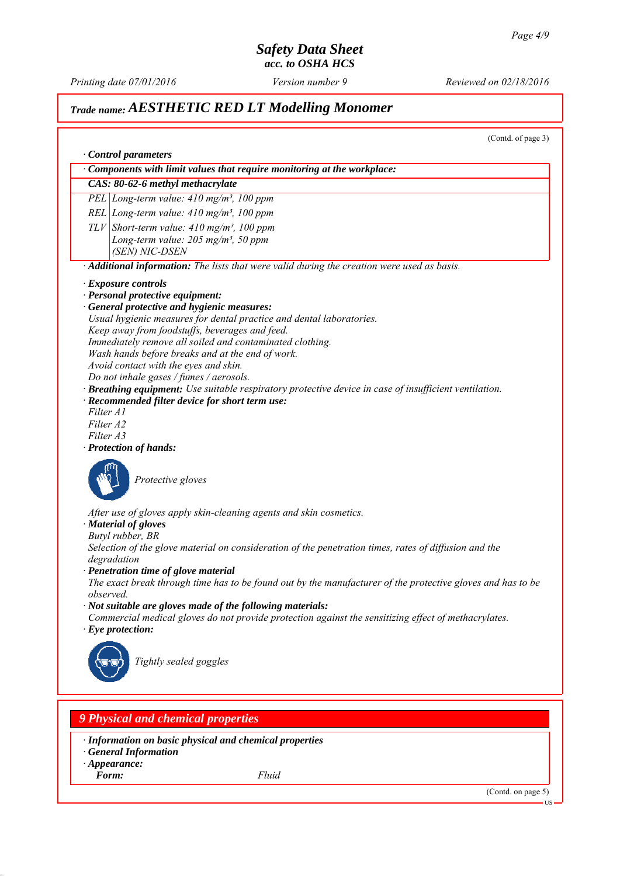*Printing date 07/01/2016 Reviewed on 02/18/2016 Version number 9*

# *Trade name: AESTHETIC RED LT Modelling Monomer*

(Contd. of page 3)

|                                                                      | $\cdot$ Components with limit values that require monitoring at the workplace:                                                                                                                                                                                                                                                                                                                         |
|----------------------------------------------------------------------|--------------------------------------------------------------------------------------------------------------------------------------------------------------------------------------------------------------------------------------------------------------------------------------------------------------------------------------------------------------------------------------------------------|
|                                                                      | CAS: 80-62-6 methyl methacrylate                                                                                                                                                                                                                                                                                                                                                                       |
|                                                                      | PEL Long-term value: $410$ mg/m <sup>3</sup> , 100 ppm                                                                                                                                                                                                                                                                                                                                                 |
|                                                                      | REL Long-term value: $410$ mg/m <sup>3</sup> , 100 ppm                                                                                                                                                                                                                                                                                                                                                 |
|                                                                      | $TLV$ Short-term value: 410 mg/m <sup>3</sup> , 100 ppm                                                                                                                                                                                                                                                                                                                                                |
|                                                                      | Long-term value: $205$ mg/m <sup>3</sup> , 50 ppm                                                                                                                                                                                                                                                                                                                                                      |
| (SEN) NIC-DSEN                                                       |                                                                                                                                                                                                                                                                                                                                                                                                        |
|                                                                      | · Additional information: The lists that were valid during the creation were used as basis.                                                                                                                                                                                                                                                                                                            |
| · Exposure controls                                                  |                                                                                                                                                                                                                                                                                                                                                                                                        |
| · Personal protective equipment:                                     |                                                                                                                                                                                                                                                                                                                                                                                                        |
|                                                                      | · General protective and hygienic measures:                                                                                                                                                                                                                                                                                                                                                            |
|                                                                      | Usual hygienic measures for dental practice and dental laboratories.                                                                                                                                                                                                                                                                                                                                   |
|                                                                      | Keep away from foodstuffs, beverages and feed.                                                                                                                                                                                                                                                                                                                                                         |
|                                                                      | Immediately remove all soiled and contaminated clothing.                                                                                                                                                                                                                                                                                                                                               |
|                                                                      | Wash hands before breaks and at the end of work.                                                                                                                                                                                                                                                                                                                                                       |
|                                                                      | Avoid contact with the eyes and skin.                                                                                                                                                                                                                                                                                                                                                                  |
|                                                                      | Do not inhale gases / fumes / aerosols.                                                                                                                                                                                                                                                                                                                                                                |
|                                                                      | Breathing equipment: Use suitable respiratory protective device in case of insufficient ventilation.<br>· Recommended filter device for short term use:                                                                                                                                                                                                                                                |
| Filter A1                                                            |                                                                                                                                                                                                                                                                                                                                                                                                        |
| Filter A2                                                            |                                                                                                                                                                                                                                                                                                                                                                                                        |
| Filter A3                                                            |                                                                                                                                                                                                                                                                                                                                                                                                        |
| · Protection of hands:                                               |                                                                                                                                                                                                                                                                                                                                                                                                        |
| · Material of gloves<br>Butyl rubber, BR<br>degradation<br>observed. | After use of gloves apply skin-cleaning agents and skin cosmetics.<br>Selection of the glove material on consideration of the penetration times, rates of diffusion and the<br>· Penetration time of glove material<br>The exact break through time has to be found out by the manufacturer of the protective gloves and has to be<br>$\cdot$ Not suitable are gloves made of the following materials: |
|                                                                      | Commercial medical gloves do not provide protection against the sensitizing effect of methacrylates.                                                                                                                                                                                                                                                                                                   |
| $\cdot$ Eye protection:                                              |                                                                                                                                                                                                                                                                                                                                                                                                        |
|                                                                      | Tightly sealed goggles                                                                                                                                                                                                                                                                                                                                                                                 |
|                                                                      | <b>9 Physical and chemical properties</b>                                                                                                                                                                                                                                                                                                                                                              |
| <b>General Information</b><br>$\cdot$ Appearance:                    | · Information on basic physical and chemical properties                                                                                                                                                                                                                                                                                                                                                |
|                                                                      |                                                                                                                                                                                                                                                                                                                                                                                                        |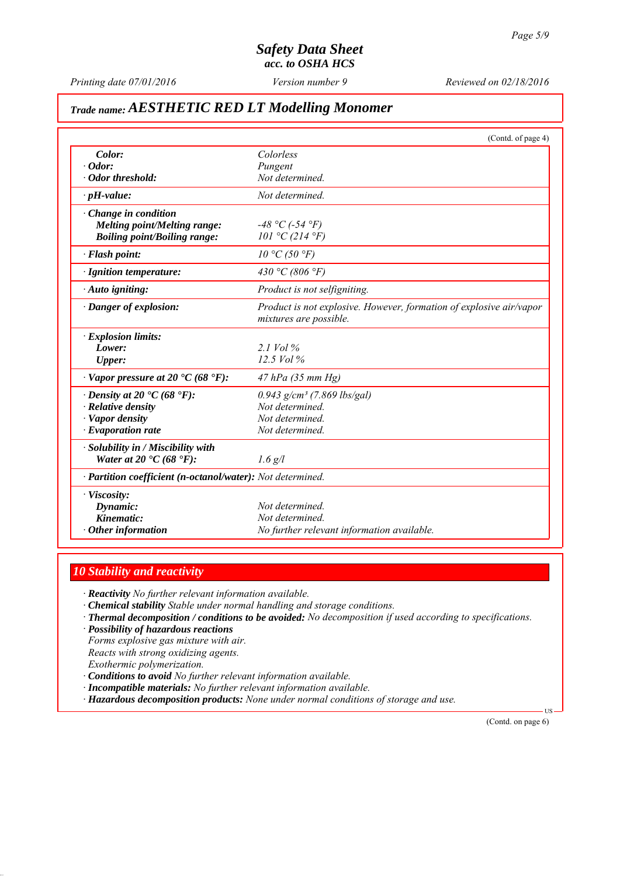*Printing date 07/01/2016 Reviewed on 02/18/2016 Version number 9*

# *Trade name: AESTHETIC RED LT Modelling Monomer*

|                                                            | (Contd. of page 4)                                                  |
|------------------------------------------------------------|---------------------------------------------------------------------|
| Color:                                                     | Colorless                                                           |
| $\cdot$ Odor:                                              | Pungent                                                             |
| Odor threshold:                                            | Not determined.                                                     |
| $\cdot$ pH-value:                                          | Not determined.                                                     |
| Change in condition                                        |                                                                     |
| <b>Melting point/Melting range:</b>                        | $-48 °C$ (-54 $°F$ )                                                |
| <b>Boiling point/Boiling range:</b>                        | 101 °C (214 °F)                                                     |
| · Flash point:                                             | 10 °C (50 °F)                                                       |
| · Ignition temperature:                                    | 430 °C (806 °F)                                                     |
| $\cdot$ Auto igniting:                                     | Product is not selfigniting.                                        |
| · Danger of explosion:                                     | Product is not explosive. However, formation of explosive air/vapor |
|                                                            | mixtures are possible.                                              |
| · Explosion limits:                                        |                                                                     |
| Lower:                                                     | 2.1 Vol $\%$                                                        |
| <b>Upper:</b>                                              | 12.5 Vol %                                                          |
| $\cdot$ Vapor pressure at 20 $\cdot$ C (68 $\cdot$ F):     | 47 hPa (35 mm Hg)                                                   |
| $\cdot$ Density at 20 $\cdot$ C (68 $\cdot$ F):            | $0.943$ g/cm <sup>3</sup> (7.869 lbs/gal)                           |
| · Relative density                                         | Not determined.                                                     |
| · Vapor density                                            | Not determined.                                                     |
| $\cdot$ Evaporation rate                                   | Not determined.                                                     |
| · Solubility in / Miscibility with                         |                                                                     |
| Water at 20 $\textdegree$ C (68 $\textdegree$ F):          | $1.6$ g/l                                                           |
| · Partition coefficient (n-octanol/water): Not determined. |                                                                     |
| · Viscosity:                                               |                                                                     |
| Dynamic:                                                   | Not determined.                                                     |
| Kinematic:                                                 | Not determined.                                                     |
| $\cdot$ Other information                                  | No further relevant information available.                          |

### *10 Stability and reactivity*

*∙ Reactivity No further relevant information available.*

- *∙ Chemical stability Stable under normal handling and storage conditions.*
- *∙ Thermal decomposition / conditions to be avoided: No decomposition if used according to specifications.*
- *∙ Possibility of hazardous reactions*

*Forms explosive gas mixture with air.*

*Reacts with strong oxidizing agents.*

*Exothermic polymerization.*

*∙ Conditions to avoid No further relevant information available.*

*∙ Incompatible materials: No further relevant information available.*

*∙ Hazardous decomposition products: None under normal conditions of storage and use.*

(Contd. on page 6)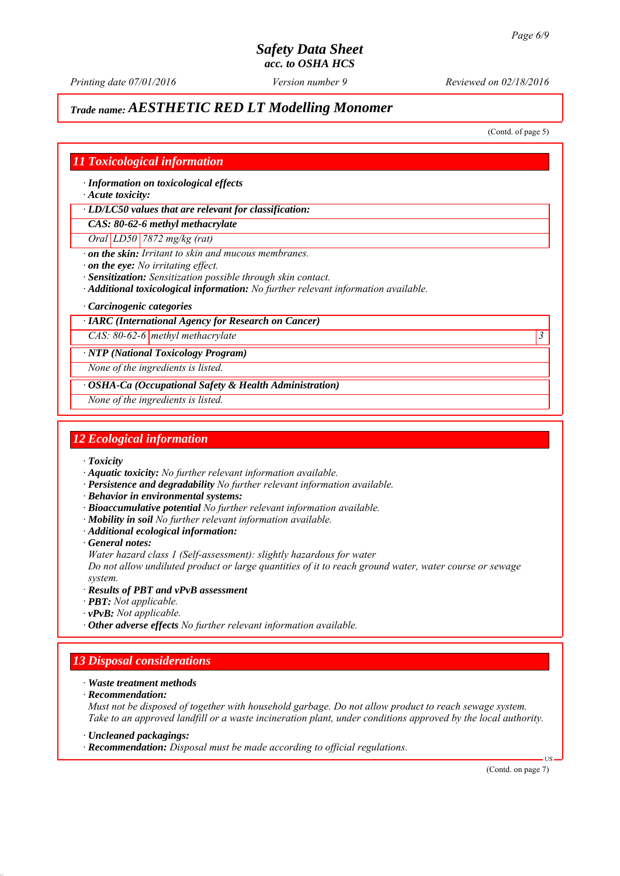*Printing date 07/01/2016 Reviewed on 02/18/2016 Version number 9*

# *Trade name: AESTHETIC RED LT Modelling Monomer*

(Contd. of page 5)

### *11 Toxicological information*

*∙ Information on toxicological effects*

*∙ Acute toxicity:*

*∙ LD/LC50 values that are relevant for classification:*

*CAS: 80-62-6 methyl methacrylate*

*Oral LD50 7872 mg/kg (rat)*

*∙ on the skin: Irritant to skin and mucous membranes.*

*∙ on the eye: No irritating effect.*

*∙ Sensitization: Sensitization possible through skin contact.*

- *∙ Additional toxicological information: No further relevant information available.*
- *∙ Carcinogenic categories*

#### *∙ IARC (International Agency for Research on Cancer)*

*CAS: 80-62-6 methyl methacrylate 3* 

*∙ NTP (National Toxicology Program)*

*None of the ingredients is listed.*

*∙ OSHA-Ca (Occupational Safety & Health Administration)*

*None of the ingredients is listed.*

#### *12 Ecological information*

*∙ Toxicity*

- *∙ Aquatic toxicity: No further relevant information available.*
- *∙ Persistence and degradability No further relevant information available.*
- *∙ Behavior in environmental systems:*
- *∙ Bioaccumulative potential No further relevant information available.*
- *∙ Mobility in soil No further relevant information available.*
- *∙ Additional ecological information:*
- *∙ General notes:*

*Water hazard class 1 (Self-assessment): slightly hazardous for water*

*Do not allow undiluted product or large quantities of it to reach ground water, water course or sewage system.*

- *∙ Results of PBT and vPvB assessment*
- *∙ PBT: Not applicable.*
- *∙ vPvB: Not applicable.*
- *∙ Other adverse effects No further relevant information available.*

# *13 Disposal considerations*

- *∙ Waste treatment methods*
- *∙ Recommendation:*

*Must not be disposed of together with household garbage. Do not allow product to reach sewage system. Take to an approved landfill or a waste incineration plant, under conditions approved by the local authority.*

*∙ Uncleaned packagings:*

*∙ Recommendation: Disposal must be made according to official regulations.*

(Contd. on page 7)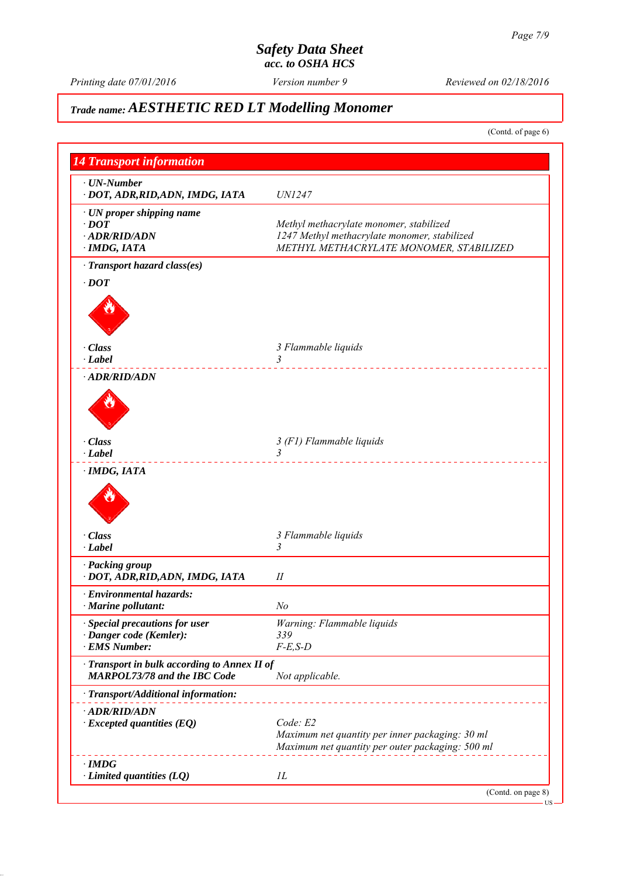*Printing date 07/01/2016 Reviewed on 02/18/2016 Version number 9*

# *Trade name: AESTHETIC RED LT Modelling Monomer*

(Contd. of page 6)

| <b>14 Transport information</b>                                                 |                                                                                                                                    |
|---------------------------------------------------------------------------------|------------------------------------------------------------------------------------------------------------------------------------|
| $\cdot$ UN-Number<br>· DOT, ADR, RID, ADN, IMDG, IATA                           | <b>UN1247</b>                                                                                                                      |
| · UN proper shipping name<br>$\cdot$ DOT<br>· ADR/RID/ADN<br>$\cdot$ IMDG, IATA | Methyl methacrylate monomer, stabilized<br>1247 Methyl methacrylate monomer, stabilized<br>METHYL METHACRYLATE MONOMER, STABILIZED |
| · Transport hazard class(es)<br>$\cdot$ DOT                                     |                                                                                                                                    |
| $\cdot$ Class<br>$\cdot$ Label                                                  | 3 Flammable liquids<br>3<br>_____________________                                                                                  |
| · ADR/RID/ADN                                                                   |                                                                                                                                    |
| · Class<br>$\cdot$ Label                                                        | 3 (F1) Flammable liquids<br>$\overline{3}$                                                                                         |
| · IMDG, IATA                                                                    |                                                                                                                                    |
| $\cdot$ Class<br>$\cdot$ Label                                                  | 3 Flammable liquids<br>$\mathfrak{Z}$                                                                                              |
| · Packing group<br>· DOT, ADR, RID, ADN, IMDG, IATA                             | $I\!I$                                                                                                                             |
| · Environmental hazards:<br>Marine pollutant:                                   | N <sub>o</sub>                                                                                                                     |
| <b>Special precautions for user</b><br>· Danger code (Kemler):<br>· EMS Number: | Warning: Flammable liquids<br>339<br>$F-E$ , $S-D$                                                                                 |
| · Transport in bulk according to Annex II of<br>MARPOL73/78 and the IBC Code    | Not applicable.                                                                                                                    |
| · Transport/Additional information:                                             |                                                                                                                                    |
| · ADR/RID/ADN<br>$\cdot$ Excepted quantities (EQ)                               | Code: E2<br>Maximum net quantity per inner packaging: 30 ml<br>Maximum net quantity per outer packaging: 500 ml                    |
| $\cdot$ IMDG<br>$\cdot$ Limited quantities (LQ)                                 | IL                                                                                                                                 |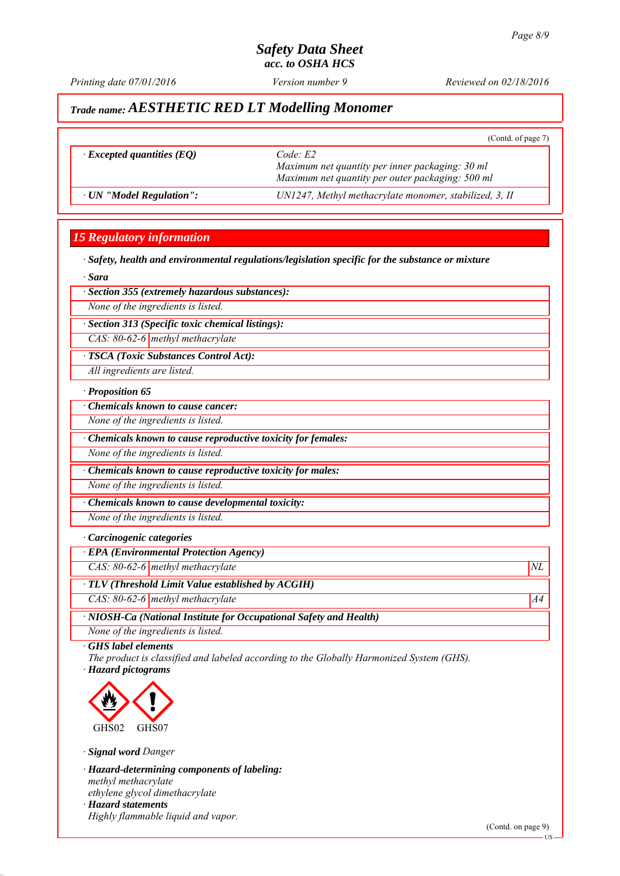*Printing date 07/01/2016 Reviewed on 02/18/2016 Version number 9*

(Contd. of page 7)

# *Trade name: AESTHETIC RED LT Modelling Monomer*

| $\cdot$ Excepted quantities (EQ) | Code: E2<br>Maximum net quantity per inner packaging: 30 ml<br>Maximum net quantity per outer packaging: 500 ml |
|----------------------------------|-----------------------------------------------------------------------------------------------------------------|
|                                  |                                                                                                                 |

*∙ UN "Model Regulation": UN1247, Methyl methacrylate monomer, stabilized, 3, II*

# *15 Regulatory information*

*∙ Safety, health and environmental regulations/legislation specific for the substance or mixture*

*∙ Sara*

#### *∙ Section 355 (extremely hazardous substances):*

*None of the ingredients is listed.*

*∙ Section 313 (Specific toxic chemical listings):*

*CAS: 80-62-6 methyl methacrylate*

*∙ TSCA (Toxic Substances Control Act):*

*All ingredients are listed.*

#### *∙ Proposition 65*

*∙ Chemicals known to cause cancer:*

*None of the ingredients is listed.*

*∙ Chemicals known to cause reproductive toxicity for females:*

*None of the ingredients is listed.*

*∙ Chemicals known to cause reproductive toxicity for males:*

*None of the ingredients is listed.*

*∙ Chemicals known to cause developmental toxicity:*

*None of the ingredients is listed.*

#### *∙ Carcinogenic categories*

*∙ EPA (Environmental Protection Agency)*

*CAS: 80-62-6 methyl methacrylate*  $NL$ 

*∙ TLV (Threshold Limit Value established by ACGIH)*

*CAS: 80-62-6 methyl methacrylate* A4<sup>4</sup>

*∙ NIOSH-Ca (National Institute for Occupational Safety and Health)*

*None of the ingredients is listed.*

*∙ GHS label elements*

*The product is classified and labeled according to the Globally Harmonized System (GHS). ∙ Hazard pictograms*



*∙ Signal word Danger*

*∙ Hazard-determining components of labeling: methyl methacrylate ethylene glycol dimethacrylate ∙ Hazard statements Highly flammable liquid and vapor.*

(Contd. on page 9)